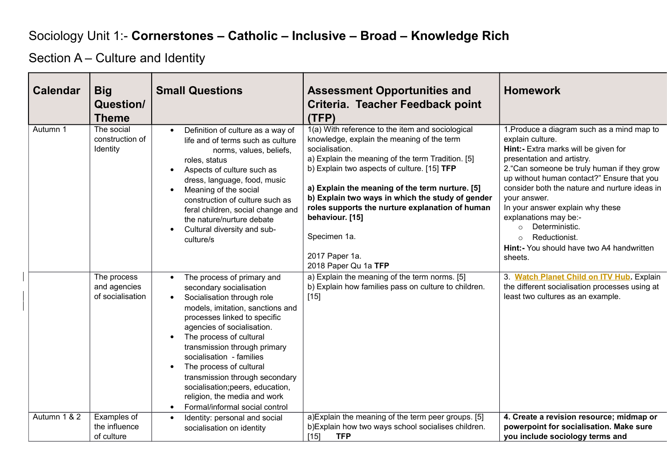## Sociology Unit 1:- **Cornerstones – Catholic – Inclusive – Broad – Knowledge Rich**

Section A – Culture and Identity

| <b>Calendar</b> | <b>Big</b><br>Question/<br><b>Theme</b>         | <b>Small Questions</b>                                                                                                                                                                                                                                                                                                                                                                                                                                                                 | <b>Assessment Opportunities and</b><br>Criteria. Teacher Feedback point<br>(TFP)                                                                                                                                                                                                                                                                                                                                                                            | <b>Homework</b>                                                                                                                                                                                                                                                                                                                                                                                                                                            |
|-----------------|-------------------------------------------------|----------------------------------------------------------------------------------------------------------------------------------------------------------------------------------------------------------------------------------------------------------------------------------------------------------------------------------------------------------------------------------------------------------------------------------------------------------------------------------------|-------------------------------------------------------------------------------------------------------------------------------------------------------------------------------------------------------------------------------------------------------------------------------------------------------------------------------------------------------------------------------------------------------------------------------------------------------------|------------------------------------------------------------------------------------------------------------------------------------------------------------------------------------------------------------------------------------------------------------------------------------------------------------------------------------------------------------------------------------------------------------------------------------------------------------|
| Autumn 1        | The social<br>construction of<br>Identity       | Definition of culture as a way of<br>$\bullet$<br>life and of terms such as culture<br>norms, values, beliefs,<br>roles, status<br>Aspects of culture such as<br>$\bullet$<br>dress, language, food, music<br>Meaning of the social<br>$\bullet$<br>construction of culture such as<br>feral children, social change and<br>the nature/nurture debate<br>Cultural diversity and sub-<br>culture/s                                                                                      | 1(a) With reference to the item and sociological<br>knowledge, explain the meaning of the term<br>socialisation.<br>a) Explain the meaning of the term Tradition. [5]<br>b) Explain two aspects of culture. [15] TFP<br>a) Explain the meaning of the term nurture. [5]<br>b) Explain two ways in which the study of gender<br>roles supports the nurture explanation of human<br>behaviour. [15]<br>Specimen 1a.<br>2017 Paper 1a.<br>2018 Paper Qu 1a TFP | 1. Produce a diagram such as a mind map to<br>explain culture.<br>Hint:- Extra marks will be given for<br>presentation and artistry.<br>2. "Can someone be truly human if they grow<br>up without human contact?" Ensure that you<br>consider both the nature and nurture ideas in<br>vour answer.<br>In your answer explain why these<br>explanations may be:-<br>Deterministic.<br>Reductionist.<br>Hint:- You should have two A4 handwritten<br>sheets. |
|                 | The process<br>and agencies<br>of socialisation | The process of primary and<br>$\bullet$<br>secondary socialisation<br>Socialisation through role<br>$\bullet$<br>models, imitation, sanctions and<br>processes linked to specific<br>agencies of socialisation.<br>The process of cultural<br>transmission through primary<br>socialisation - families<br>The process of cultural<br>transmission through secondary<br>socialisation; peers, education,<br>religion, the media and work<br>Formal/informal social control<br>$\bullet$ | a) Explain the meaning of the term norms. [5]<br>b) Explain how families pass on culture to children.<br>$[15]$                                                                                                                                                                                                                                                                                                                                             | 3. Watch Planet Child on ITV Hub. Explain<br>the different socialisation processes using at<br>least two cultures as an example.                                                                                                                                                                                                                                                                                                                           |
| Autumn 1 & 2    | Examples of<br>the influence<br>of culture      | Identity: personal and social<br>$\bullet$<br>socialisation on identity                                                                                                                                                                                                                                                                                                                                                                                                                | a) Explain the meaning of the term peer groups. [5]<br>b) Explain how two ways school socialises children.<br>$[15]$<br><b>TFP</b>                                                                                                                                                                                                                                                                                                                          | 4. Create a revision resource; midmap or<br>powerpoint for socialisation. Make sure<br>you include sociology terms and                                                                                                                                                                                                                                                                                                                                     |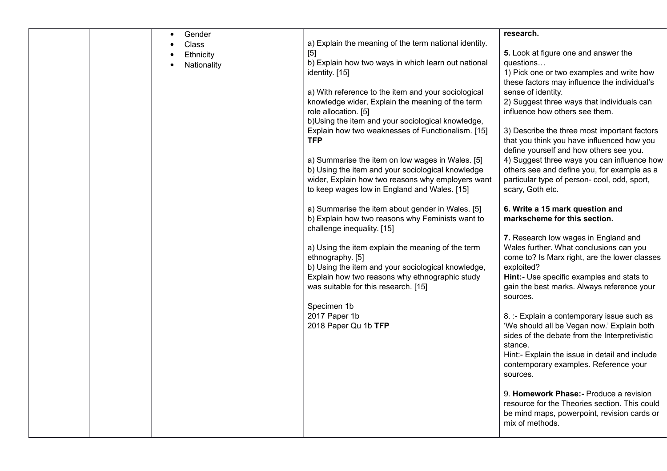|  | $\bullet$ | Gender      |                                                                                        | research.                                                                                  |
|--|-----------|-------------|----------------------------------------------------------------------------------------|--------------------------------------------------------------------------------------------|
|  |           | Class       | a) Explain the meaning of the term national identity.                                  |                                                                                            |
|  |           | Ethnicity   | $[5]$                                                                                  | 5. Look at figure one and answer the                                                       |
|  |           | Nationality | b) Explain how two ways in which learn out national                                    | questions                                                                                  |
|  |           |             | identity. [15]                                                                         | 1) Pick one or two examples and write how                                                  |
|  |           |             |                                                                                        | these factors may influence the individual's                                               |
|  |           |             | a) With reference to the item and your sociological                                    | sense of identity.                                                                         |
|  |           |             | knowledge wider, Explain the meaning of the term                                       | 2) Suggest three ways that individuals can                                                 |
|  |           |             | role allocation. [5]                                                                   | influence how others see them.                                                             |
|  |           |             | b)Using the item and your sociological knowledge,                                      |                                                                                            |
|  |           |             | Explain how two weaknesses of Functionalism. [15]<br><b>TFP</b>                        | 3) Describe the three most important factors<br>that you think you have influenced how you |
|  |           |             |                                                                                        | define yourself and how others see you.                                                    |
|  |           |             | a) Summarise the item on low wages in Wales. [5]                                       | 4) Suggest three ways you can influence how                                                |
|  |           |             | b) Using the item and your sociological knowledge                                      | others see and define you, for example as a                                                |
|  |           |             | wider, Explain how two reasons why employers want                                      | particular type of person- cool, odd, sport,                                               |
|  |           |             | to keep wages low in England and Wales. [15]                                           | scary, Goth etc.                                                                           |
|  |           |             |                                                                                        |                                                                                            |
|  |           |             | a) Summarise the item about gender in Wales. [5]                                       | 6. Write a 15 mark question and                                                            |
|  |           |             | b) Explain how two reasons why Feminists want to                                       | markscheme for this section.                                                               |
|  |           |             | challenge inequality. [15]                                                             |                                                                                            |
|  |           |             |                                                                                        | 7. Research low wages in England and                                                       |
|  |           |             | a) Using the item explain the meaning of the term                                      | Wales further. What conclusions can you                                                    |
|  |           |             | ethnography. [5]                                                                       | come to? Is Marx right, are the lower classes                                              |
|  |           |             | b) Using the item and your sociological knowledge,                                     | exploited?                                                                                 |
|  |           |             | Explain how two reasons why ethnographic study<br>was suitable for this research. [15] | Hint:- Use specific examples and stats to<br>gain the best marks. Always reference your    |
|  |           |             |                                                                                        | sources.                                                                                   |
|  |           |             | Specimen 1b                                                                            |                                                                                            |
|  |           |             | 2017 Paper 1b                                                                          | 8. :- Explain a contemporary issue such as                                                 |
|  |           |             | 2018 Paper Qu 1b TFP                                                                   | 'We should all be Vegan now.' Explain both                                                 |
|  |           |             |                                                                                        | sides of the debate from the Interpretivistic                                              |
|  |           |             |                                                                                        | stance.                                                                                    |
|  |           |             |                                                                                        | Hint:- Explain the issue in detail and include                                             |
|  |           |             |                                                                                        | contemporary examples. Reference your                                                      |
|  |           |             |                                                                                        | sources.                                                                                   |
|  |           |             |                                                                                        |                                                                                            |
|  |           |             |                                                                                        | 9. Homework Phase: - Produce a revision                                                    |
|  |           |             |                                                                                        | resource for the Theories section. This could                                              |
|  |           |             |                                                                                        | be mind maps, powerpoint, revision cards or<br>mix of methods.                             |
|  |           |             |                                                                                        |                                                                                            |
|  |           |             |                                                                                        |                                                                                            |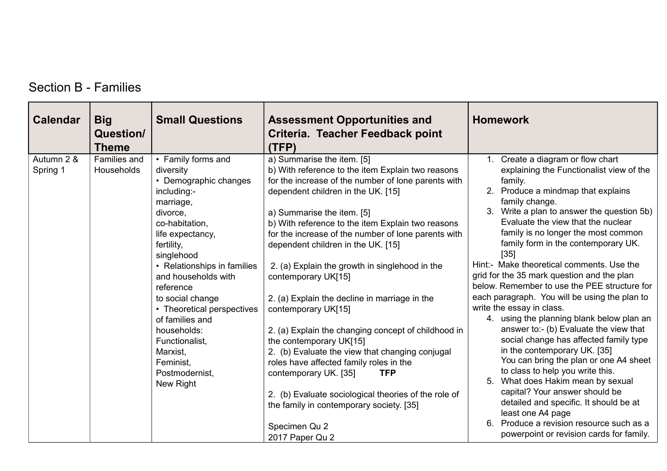| <b>Calendar</b>        | <b>Big</b><br><b>Question/</b><br><b>Theme</b> | <b>Small Questions</b>                                                                                                                                                                                                                                                                                                                                                                              | <b>Assessment Opportunities and</b><br>Criteria. Teacher Feedback point<br>(TFP)                                                                                                                                                                                                                                                                                                                                                                                                                                                                                                                                                                                                                                                                                                                                                                                             | <b>Homework</b>                                                                                                                                                                                                                                                                                                                                                                                                                                                                                                                                                                                                                                                                                                                                                                                                                                                                                                                                                                                                                          |
|------------------------|------------------------------------------------|-----------------------------------------------------------------------------------------------------------------------------------------------------------------------------------------------------------------------------------------------------------------------------------------------------------------------------------------------------------------------------------------------------|------------------------------------------------------------------------------------------------------------------------------------------------------------------------------------------------------------------------------------------------------------------------------------------------------------------------------------------------------------------------------------------------------------------------------------------------------------------------------------------------------------------------------------------------------------------------------------------------------------------------------------------------------------------------------------------------------------------------------------------------------------------------------------------------------------------------------------------------------------------------------|------------------------------------------------------------------------------------------------------------------------------------------------------------------------------------------------------------------------------------------------------------------------------------------------------------------------------------------------------------------------------------------------------------------------------------------------------------------------------------------------------------------------------------------------------------------------------------------------------------------------------------------------------------------------------------------------------------------------------------------------------------------------------------------------------------------------------------------------------------------------------------------------------------------------------------------------------------------------------------------------------------------------------------------|
| Autumn 2 &<br>Spring 1 | Families and<br>Households                     | • Family forms and<br>diversity<br>• Demographic changes<br>including:-<br>marriage,<br>divorce,<br>co-habitation,<br>life expectancy,<br>fertility,<br>singlehood<br>• Relationships in families<br>and households with<br>reference<br>to social change<br>• Theoretical perspectives<br>of families and<br>households:<br>Functionalist,<br>Marxist,<br>Feminist,<br>Postmodernist,<br>New Right | a) Summarise the item. [5]<br>b) With reference to the item Explain two reasons<br>for the increase of the number of lone parents with<br>dependent children in the UK. [15]<br>a) Summarise the item. [5]<br>b) With reference to the item Explain two reasons<br>for the increase of the number of lone parents with<br>dependent children in the UK. [15]<br>2. (a) Explain the growth in singlehood in the<br>contemporary UK[15]<br>2. (a) Explain the decline in marriage in the<br>contemporary UK[15]<br>2. (a) Explain the changing concept of childhood in<br>the contemporary UK[15]<br>2. (b) Evaluate the view that changing conjugal<br>roles have affected family roles in the<br>contemporary UK. [35]<br><b>TFP</b><br>2. (b) Evaluate sociological theories of the role of<br>the family in contemporary society. [35]<br>Specimen Qu 2<br>2017 Paper Qu 2 | 1. Create a diagram or flow chart<br>explaining the Functionalist view of the<br>family.<br>2. Produce a mindmap that explains<br>family change.<br>3. Write a plan to answer the question 5b)<br>Evaluate the view that the nuclear<br>family is no longer the most common<br>family form in the contemporary UK.<br>$[35]$<br>Hint:- Make theoretical comments. Use the<br>grid for the 35 mark question and the plan<br>below. Remember to use the PEE structure for<br>each paragraph. You will be using the plan to<br>write the essay in class.<br>4. using the planning blank below plan an<br>answer to:- (b) Evaluate the view that<br>social change has affected family type<br>in the contemporary UK. [35]<br>You can bring the plan or one A4 sheet<br>to class to help you write this.<br>What does Hakim mean by sexual<br>5.<br>capital? Your answer should be<br>detailed and specific. It should be at<br>least one A4 page<br>Produce a revision resource such as a<br>6.<br>powerpoint or revision cards for family. |

## Section B - Families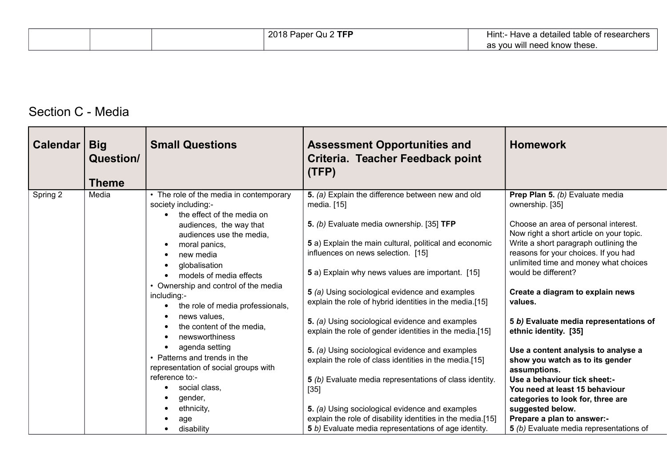|  | $Qu2$ TFF<br>2018 Paper C | $\mathsf{Hint:}$<br>- Have a detailed table of researchers |
|--|---------------------------|------------------------------------------------------------|
|  |                           | as you will need know these.                               |

## Section C - Media

| Calendar | <b>Big</b><br>Question/<br><b>Theme</b> | <b>Small Questions</b>                                                                         | <b>Assessment Opportunities and</b><br>Criteria. Teacher Feedback point<br>(TFP)                                                                                       | <b>Homework</b>                                                                                                                                                   |
|----------|-----------------------------------------|------------------------------------------------------------------------------------------------|------------------------------------------------------------------------------------------------------------------------------------------------------------------------|-------------------------------------------------------------------------------------------------------------------------------------------------------------------|
| Spring 2 | Media                                   | • The role of the media in contemporary<br>society including:-<br>the effect of the media on   | 5. (a) Explain the difference between new and old<br>media. [15]                                                                                                       | Prep Plan 5. (b) Evaluate media<br>ownership. [35]                                                                                                                |
|          |                                         | audiences, the way that<br>audiences use the media,<br>moral panics,<br>$\bullet$<br>new media | 5. (b) Evaluate media ownership. [35] TFP<br>5 a) Explain the main cultural, political and economic<br>influences on news selection. [15]                              | Choose an area of personal interest.<br>Now right a short article on your topic.<br>Write a short paragraph outlining the<br>reasons for your choices. If you had |
|          |                                         | globalisation<br>models of media effects<br>• Ownership and control of the media               | 5 a) Explain why news values are important. [15]                                                                                                                       | unlimited time and money what choices<br>would be different?                                                                                                      |
|          |                                         | including:-<br>the role of media professionals,                                                | 5 (a) Using sociological evidence and examples<br>explain the role of hybrid identities in the media.[15]                                                              | Create a diagram to explain news<br>values.                                                                                                                       |
|          |                                         | news values,<br>the content of the media,<br>newsworthiness                                    | 5. (a) Using sociological evidence and examples<br>explain the role of gender identities in the media.[15]                                                             | 5 b) Evaluate media representations of<br>ethnic identity. [35]                                                                                                   |
|          |                                         | agenda setting<br>• Patterns and trends in the<br>representation of social groups with         | 5. (a) Using sociological evidence and examples<br>explain the role of class identities in the media.[15]                                                              | Use a content analysis to analyse a<br>show you watch as to its gender<br>assumptions.                                                                            |
|          |                                         | reference to:-<br>social class,<br>gender,                                                     | 5 (b) Evaluate media representations of class identity.<br>$[35]$                                                                                                      | Use a behaviour tick sheet:-<br>You need at least 15 behaviour<br>categories to look for, three are                                                               |
|          |                                         | ethnicity,<br>age<br>disability                                                                | 5. (a) Using sociological evidence and examples<br>explain the role of disability identities in the media.[15]<br>5 b) Evaluate media representations of age identity. | suggested below.<br>Prepare a plan to answer:-<br>5 (b) Evaluate media representations of                                                                         |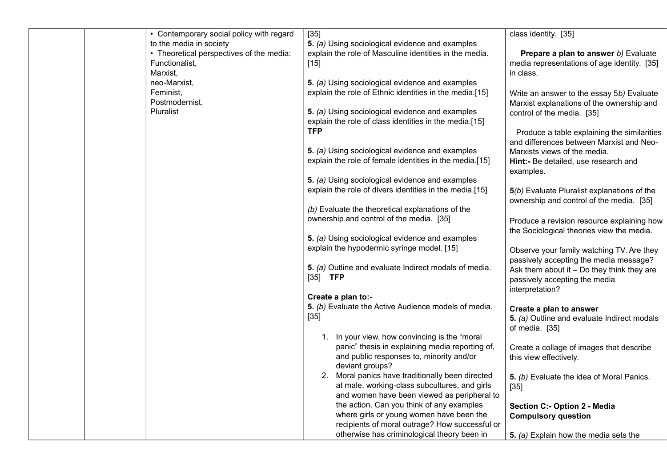| • Contemporary social policy with regard | $[35]$                                                      | class identity. [35]                         |
|------------------------------------------|-------------------------------------------------------------|----------------------------------------------|
| to the media in society                  | 5. (a) Using sociological evidence and examples             |                                              |
| • Theoretical perspectives of the media: | explain the role of Masculine identities in the media.      | Prepare a plan to answer b) Evaluate         |
| Functionalist,                           | $[15]$                                                      | media representations of age identity. [35]  |
| Marxist,                                 |                                                             | in class.                                    |
| neo-Marxist,                             | 5. (a) Using sociological evidence and examples             |                                              |
| Feminist,<br>Postmodernist,              | explain the role of Ethnic identities in the media.[15]     | Write an answer to the essay 5b) Evaluate    |
| <b>Pluralist</b>                         | 5. (a) Using sociological evidence and examples             | Marxist explanations of the ownership and    |
|                                          | explain the role of class identities in the media.[15]      | control of the media. [35]                   |
|                                          | <b>TFP</b>                                                  | Produce a table explaining the similarities  |
|                                          |                                                             | and differences between Marxist and Neo-     |
|                                          | 5. (a) Using sociological evidence and examples             | Marxists views of the media.                 |
|                                          | explain the role of female identities in the media.[15]     | Hint:- Be detailed, use research and         |
|                                          |                                                             | examples.                                    |
|                                          | 5. (a) Using sociological evidence and examples             |                                              |
|                                          | explain the role of divers identities in the media.[15]     | 5(b) Evaluate Pluralist explanations of the  |
|                                          |                                                             | ownership and control of the media. [35]     |
|                                          | (b) Evaluate the theoretical explanations of the            |                                              |
|                                          | ownership and control of the media. [35]                    | Produce a revision resource explaining how   |
|                                          |                                                             | the Sociological theories view the media.    |
|                                          | 5. (a) Using sociological evidence and examples             |                                              |
|                                          | explain the hypodermic syringe model. [15]                  | Observe your family watching TV. Are they    |
|                                          |                                                             | passively accepting the media message?       |
|                                          | 5. (a) Outline and evaluate Indirect modals of media.       | Ask them about it $-$ Do they think they are |
|                                          | $[35]$ TFP                                                  | passively accepting the media                |
|                                          |                                                             | interpretation?                              |
|                                          | Create a plan to:-                                          |                                              |
|                                          | 5. (b) Evaluate the Active Audience models of media.        | Create a plan to answer                      |
|                                          | $[35]$                                                      | 5. (a) Outline and evaluate Indirect modals  |
|                                          |                                                             | of media. [35]                               |
|                                          | 1. In your view, how convincing is the "moral"              |                                              |
|                                          | panic" thesis in explaining media reporting of,             | Create a collage of images that describe     |
|                                          | and public responses to, minority and/or<br>deviant groups? | this view effectively.                       |
|                                          | 2. Moral panics have traditionally been directed            |                                              |
|                                          | at male, working-class subcultures, and girls               | 5. (b) Evaluate the idea of Moral Panics.    |
|                                          | and women have been viewed as peripheral to                 | $[35]$                                       |
|                                          | the action. Can you think of any examples                   | Section C:- Option 2 - Media                 |
|                                          | where girls or young women have been the                    | <b>Compulsory question</b>                   |
|                                          | recipients of moral outrage? How successful or              |                                              |
|                                          | otherwise has criminological theory been in                 | 5. (a) Explain how the media sets the        |